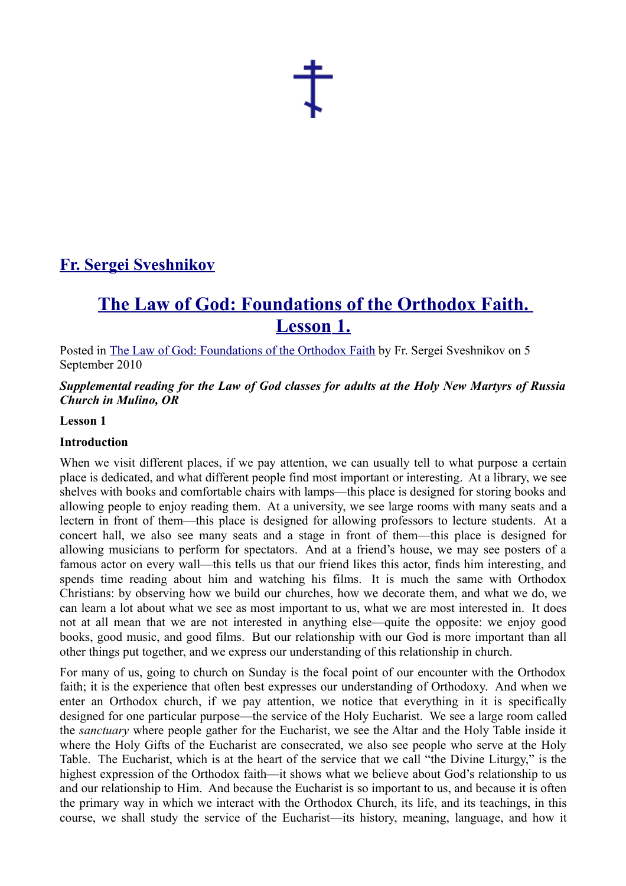

# **[Fr. Sergei Sveshnikov](http://frsergei.wordpress.com/)**

# **[The Law of God: Foundations of the Orthodox Faith.](http://frsergei.wordpress.com/2010/09/05/the-law-of-god-foundations-of-the-orthodox-faith-lesson-1/)  [Lesson 1.](http://frsergei.wordpress.com/2010/09/05/the-law-of-god-foundations-of-the-orthodox-faith-lesson-1/)**

Posted in [The Law of God: Foundations of the Orthodox Faith](http://en.wordpress.com/tag/the-law-of-god-foundations-of-the-orthodox-faith/) by Fr. Sergei Sveshnikov on 5 September 2010

*Supplemental reading for the Law of God classes for adults at the Holy New Martyrs of Russia Church in Mulino, OR*

#### **Lesson 1**

#### **Introduction**

When we visit different places, if we pay attention, we can usually tell to what purpose a certain place is dedicated, and what different people find most important or interesting. At a library, we see shelves with books and comfortable chairs with lamps—this place is designed for storing books and allowing people to enjoy reading them. At a university, we see large rooms with many seats and a lectern in front of them—this place is designed for allowing professors to lecture students. At a concert hall, we also see many seats and a stage in front of them—this place is designed for allowing musicians to perform for spectators. And at a friend's house, we may see posters of a famous actor on every wall—this tells us that our friend likes this actor, finds him interesting, and spends time reading about him and watching his films. It is much the same with Orthodox Christians: by observing how we build our churches, how we decorate them, and what we do, we can learn a lot about what we see as most important to us, what we are most interested in. It does not at all mean that we are not interested in anything else—quite the opposite: we enjoy good books, good music, and good films. But our relationship with our God is more important than all other things put together, and we express our understanding of this relationship in church.

For many of us, going to church on Sunday is the focal point of our encounter with the Orthodox faith; it is the experience that often best expresses our understanding of Orthodoxy. And when we enter an Orthodox church, if we pay attention, we notice that everything in it is specifically designed for one particular purpose—the service of the Holy Eucharist. We see a large room called the *sanctuary* where people gather for the Eucharist, we see the Altar and the Holy Table inside it where the Holy Gifts of the Eucharist are consecrated, we also see people who serve at the Holy Table. The Eucharist, which is at the heart of the service that we call "the Divine Liturgy," is the highest expression of the Orthodox faith—it shows what we believe about God's relationship to us and our relationship to Him. And because the Eucharist is so important to us, and because it is often the primary way in which we interact with the Orthodox Church, its life, and its teachings, in this course, we shall study the service of the Eucharist—its history, meaning, language, and how it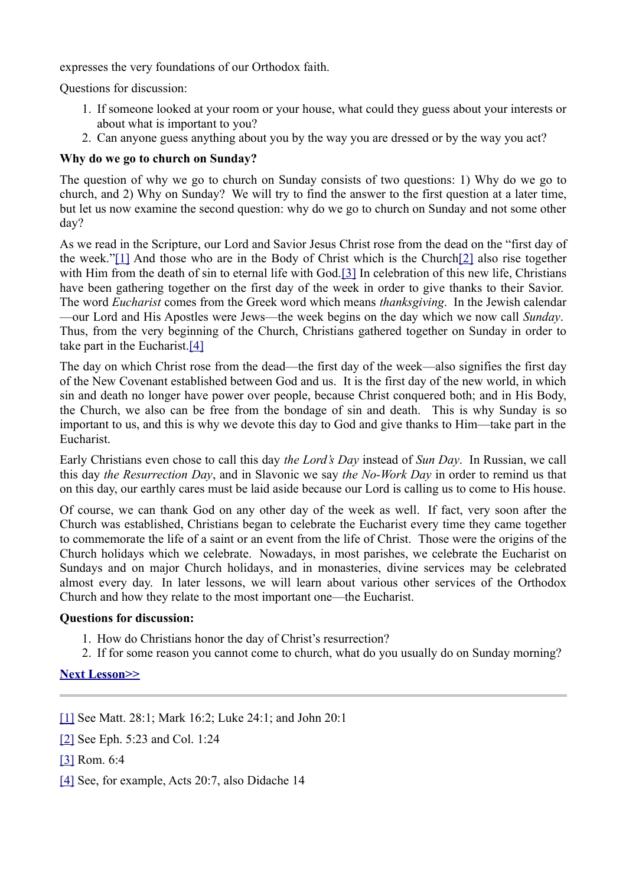expresses the very foundations of our Orthodox faith.

Questions for discussion:

- 1. If someone looked at your room or your house, what could they guess about your interests or about what is important to you?
- 2. Can anyone guess anything about you by the way you are dressed or by the way you act?

# **Why do we go to church on Sunday?**

The question of why we go to church on Sunday consists of two questions: 1) Why do we go to church, and 2) Why on Sunday? We will try to find the answer to the first question at a later time, but let us now examine the second question: why do we go to church on Sunday and not some other day?

As we read in the Scripture, our Lord and Savior Jesus Christ rose from the dead on the "first day of the week.["\[1\]](http://frsergei.wordpress.com/Users/Fr.%20Sergei/Documents/My%20Dropbox/Law%20of%20God/The%20Law%20of%20God.docx#_ftn1) And those who are in the Body of Christ which is the Churc[h\[2\]](http://frsergei.wordpress.com/Users/Fr.%20Sergei/Documents/My%20Dropbox/Law%20of%20God/The%20Law%20of%20God.docx#_ftn2) also rise together with Him from the death of sin to eternal life with God[.\[3\]](http://frsergei.wordpress.com/Users/Fr.%20Sergei/Documents/My%20Dropbox/Law%20of%20God/The%20Law%20of%20God.docx#_ftn3) In celebration of this new life, Christians have been gathering together on the first day of the week in order to give thanks to their Savior. The word *Eucharist* comes from the Greek word which means *thanksgiving*. In the Jewish calendar —our Lord and His Apostles were Jews—the week begins on the day which we now call *Sunday*. Thus, from the very beginning of the Church, Christians gathered together on Sunday in order to take part in the Eucharist[.\[4\]](http://frsergei.wordpress.com/Users/Fr.%20Sergei/Documents/My%20Dropbox/Law%20of%20God/The%20Law%20of%20God.docx#_ftn4)

The day on which Christ rose from the dead—the first day of the week—also signifies the first day of the New Covenant established between God and us. It is the first day of the new world, in which sin and death no longer have power over people, because Christ conquered both; and in His Body, the Church, we also can be free from the bondage of sin and death. This is why Sunday is so important to us, and this is why we devote this day to God and give thanks to Him—take part in the Eucharist.

Early Christians even chose to call this day *the Lord's Day* instead of *Sun Day*. In Russian, we call this day *the Resurrection Day*, and in Slavonic we say *the No-Work Day* in order to remind us that on this day, our earthly cares must be laid aside because our Lord is calling us to come to His house.

Of course, we can thank God on any other day of the week as well. If fact, very soon after the Church was established, Christians began to celebrate the Eucharist every time they came together to commemorate the life of a saint or an event from the life of Christ. Those were the origins of the Church holidays which we celebrate. Nowadays, in most parishes, we celebrate the Eucharist on Sundays and on major Church holidays, and in monasteries, divine services may be celebrated almost every day. In later lessons, we will learn about various other services of the Orthodox Church and how they relate to the most important one—the Eucharist.

# **Questions for discussion:**

- 1. How do Christians honor the day of Christ's resurrection?
- 2. If for some reason you cannot come to church, what do you usually do on Sunday morning?

# **[Next Lesson>>](http://frsergei.wordpress.com/2010/09/12/the-law-of-god-foundations-of-the-orthodox-faith-lesson-2/)**

- [\[1\]](http://frsergei.wordpress.com/Users/Fr.%20Sergei/Documents/My%20Dropbox/Law%20of%20God/The%20Law%20of%20God.docx#_ftnref1) See Matt. 28:1; Mark 16:2; Luke 24:1; and John 20:1
- [\[2\]](http://frsergei.wordpress.com/Users/Fr.%20Sergei/Documents/My%20Dropbox/Law%20of%20God/The%20Law%20of%20God.docx#_ftnref2) See Eph. 5:23 and Col. 1:24
- [\[3\]](http://frsergei.wordpress.com/Users/Fr.%20Sergei/Documents/My%20Dropbox/Law%20of%20God/The%20Law%20of%20God.docx#_ftnref3) Rom. 6:4
- [\[4\]](http://frsergei.wordpress.com/Users/Fr.%20Sergei/Documents/My%20Dropbox/Law%20of%20God/The%20Law%20of%20God.docx#_ftnref4) See, for example, Acts 20:7, also Didache 14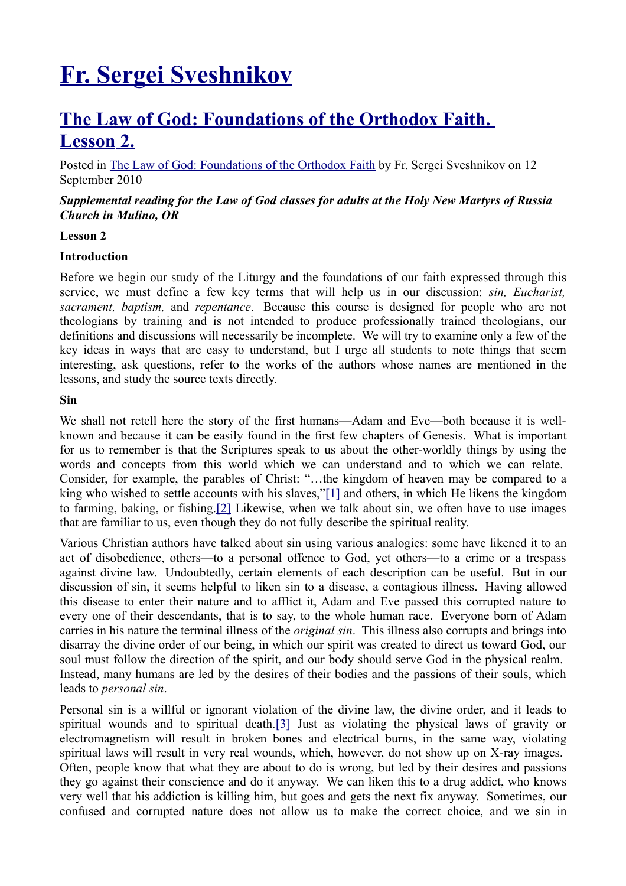# **[Fr. Sergei Sveshnikov](http://frsergei.wordpress.com/)**

# **[The Law of God: Foundations of the Orthodox Faith.](http://frsergei.wordpress.com/2010/09/12/the-law-of-god-foundations-of-the-orthodox-faith-lesson-2/)  [Lesson 2.](http://frsergei.wordpress.com/2010/09/12/the-law-of-god-foundations-of-the-orthodox-faith-lesson-2/)**

Posted in [The Law of God: Foundations of the Orthodox Faith](http://en.wordpress.com/tag/the-law-of-god-foundations-of-the-orthodox-faith/) by Fr. Sergei Sveshnikov on 12 September 2010

## *Supplemental reading for the Law of God classes for adults at the Holy New Martyrs of Russia Church in Mulino, OR*

#### **Lesson 2**

#### **Introduction**

Before we begin our study of the Liturgy and the foundations of our faith expressed through this service, we must define a few key terms that will help us in our discussion: *sin, Eucharist, sacrament, baptism,* and *repentance*. Because this course is designed for people who are not theologians by training and is not intended to produce professionally trained theologians, our definitions and discussions will necessarily be incomplete. We will try to examine only a few of the key ideas in ways that are easy to understand, but I urge all students to note things that seem interesting, ask questions, refer to the works of the authors whose names are mentioned in the lessons, and study the source texts directly.

#### **Sin**

We shall not retell here the story of the first humans—Adam and Eve—both because it is wellknown and because it can be easily found in the first few chapters of Genesis. What is important for us to remember is that the Scriptures speak to us about the other-worldly things by using the words and concepts from this world which we can understand and to which we can relate. Consider, for example, the parables of Christ: "…the kingdom of heaven may be compared to a king who wished to settle accounts with his slaves,["\[1\]](http://frsergei.wordpress.com/Users/Fr.%20Sergei/Documents/My%20Dropbox/Law%20of%20God/The%20Law%20of%20God.docx#_ftn1) and others, in which He likens the kingdom to farming, baking, or fishing[.\[2\]](http://frsergei.wordpress.com/Users/Fr.%20Sergei/Documents/My%20Dropbox/Law%20of%20God/The%20Law%20of%20God.docx#_ftn2) Likewise, when we talk about sin, we often have to use images that are familiar to us, even though they do not fully describe the spiritual reality.

Various Christian authors have talked about sin using various analogies: some have likened it to an act of disobedience, others—to a personal offence to God, yet others—to a crime or a trespass against divine law. Undoubtedly, certain elements of each description can be useful. But in our discussion of sin, it seems helpful to liken sin to a disease, a contagious illness. Having allowed this disease to enter their nature and to afflict it, Adam and Eve passed this corrupted nature to every one of their descendants, that is to say, to the whole human race. Everyone born of Adam carries in his nature the terminal illness of the *original sin*. This illness also corrupts and brings into disarray the divine order of our being, in which our spirit was created to direct us toward God, our soul must follow the direction of the spirit, and our body should serve God in the physical realm. Instead, many humans are led by the desires of their bodies and the passions of their souls, which leads to *personal sin*.

Personal sin is a willful or ignorant violation of the divine law, the divine order, and it leads to spiritual wounds and to spiritual death[.\[3\]](http://frsergei.wordpress.com/Users/Fr.%20Sergei/Documents/My%20Dropbox/Law%20of%20God/The%20Law%20of%20God.docx#_ftn3) Just as violating the physical laws of gravity or electromagnetism will result in broken bones and electrical burns, in the same way, violating spiritual laws will result in very real wounds, which, however, do not show up on X-ray images. Often, people know that what they are about to do is wrong, but led by their desires and passions they go against their conscience and do it anyway. We can liken this to a drug addict, who knows very well that his addiction is killing him, but goes and gets the next fix anyway. Sometimes, our confused and corrupted nature does not allow us to make the correct choice, and we sin in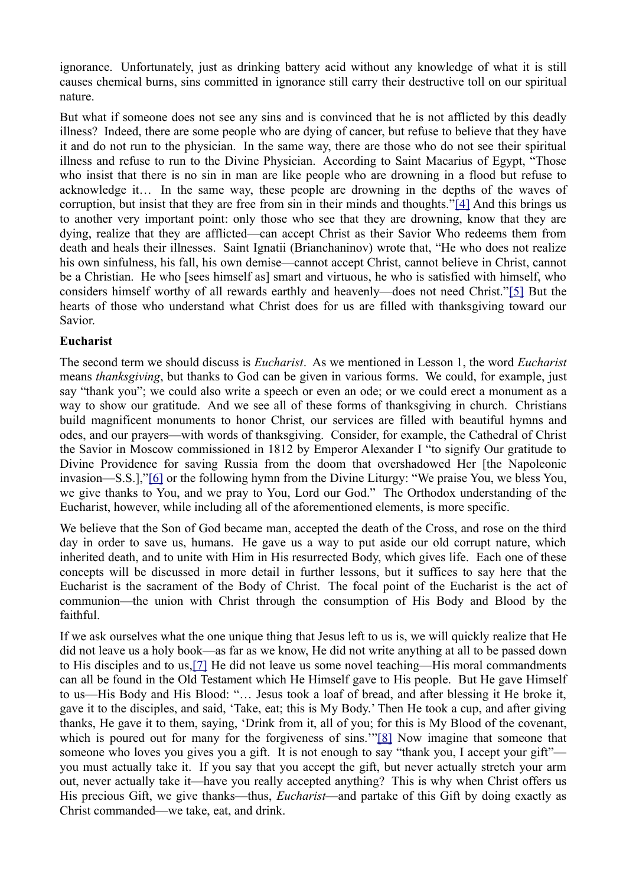ignorance. Unfortunately, just as drinking battery acid without any knowledge of what it is still causes chemical burns, sins committed in ignorance still carry their destructive toll on our spiritual nature.

But what if someone does not see any sins and is convinced that he is not afflicted by this deadly illness? Indeed, there are some people who are dying of cancer, but refuse to believe that they have it and do not run to the physician. In the same way, there are those who do not see their spiritual illness and refuse to run to the Divine Physician. According to Saint Macarius of Egypt, "Those who insist that there is no sin in man are like people who are drowning in a flood but refuse to acknowledge it… In the same way, these people are drowning in the depths of the waves of corruption, but insist that they are free from sin in their minds and thoughts.["\[4\]](http://frsergei.wordpress.com/Users/Fr.%20Sergei/Documents/My%20Dropbox/Law%20of%20God/The%20Law%20of%20God.docx#_ftn4) And this brings us to another very important point: only those who see that they are drowning, know that they are dying, realize that they are afflicted—can accept Christ as their Savior Who redeems them from death and heals their illnesses. Saint Ignatii (Brianchaninov) wrote that, "He who does not realize his own sinfulness, his fall, his own demise—cannot accept Christ, cannot believe in Christ, cannot be a Christian. He who [sees himself as] smart and virtuous, he who is satisfied with himself, who considers himself worthy of all rewards earthly and heavenly—does not need Christ.["\[5\]](http://frsergei.wordpress.com/Users/Fr.%20Sergei/Documents/My%20Dropbox/Law%20of%20God/The%20Law%20of%20God.docx#_ftn5) But the hearts of those who understand what Christ does for us are filled with thanksgiving toward our Savior.

# **Eucharist**

The second term we should discuss is *Eucharist*. As we mentioned in Lesson 1, the word *Eucharist* means *thanksgiving*, but thanks to God can be given in various forms. We could, for example, just say "thank you"; we could also write a speech or even an ode; or we could erect a monument as a way to show our gratitude. And we see all of these forms of thanksgiving in church. Christians build magnificent monuments to honor Christ, our services are filled with beautiful hymns and odes, and our prayers—with words of thanksgiving. Consider, for example, the Cathedral of Christ the Savior in Moscow commissioned in 1812 by Emperor Alexander I "to signify Our gratitude to Divine Providence for saving Russia from the doom that overshadowed Her [the Napoleonic invasion—S.S.],["\[6\]](http://frsergei.wordpress.com/Users/Fr.%20Sergei/Documents/My%20Dropbox/Law%20of%20God/The%20Law%20of%20God.docx#_ftn6) or the following hymn from the Divine Liturgy: "We praise You, we bless You, we give thanks to You, and we pray to You, Lord our God." The Orthodox understanding of the Eucharist, however, while including all of the aforementioned elements, is more specific.

We believe that the Son of God became man, accepted the death of the Cross, and rose on the third day in order to save us, humans. He gave us a way to put aside our old corrupt nature, which inherited death, and to unite with Him in His resurrected Body, which gives life. Each one of these concepts will be discussed in more detail in further lessons, but it suffices to say here that the Eucharist is the sacrament of the Body of Christ. The focal point of the Eucharist is the act of communion—the union with Christ through the consumption of His Body and Blood by the faithful.

If we ask ourselves what the one unique thing that Jesus left to us is, we will quickly realize that He did not leave us a holy book—as far as we know, He did not write anything at all to be passed down to His disciples and to us[,\[7\]](http://frsergei.wordpress.com/Users/Fr.%20Sergei/Documents/My%20Dropbox/Law%20of%20God/The%20Law%20of%20God.docx#_ftn7) He did not leave us some novel teaching—His moral commandments can all be found in the Old Testament which He Himself gave to His people. But He gave Himself to us—His Body and His Blood: "… Jesus took a loaf of bread, and after blessing it He broke it, gave it to the disciples, and said, 'Take, eat; this is My Body.' Then He took a cup, and after giving thanks, He gave it to them, saying, 'Drink from it, all of you; for this is My Blood of the covenant, which is poured out for many for the forgiveness of sins.'["\[8\]](http://frsergei.wordpress.com/Users/Fr.%20Sergei/Documents/My%20Dropbox/Law%20of%20God/The%20Law%20of%20God.docx#_ftn8) Now imagine that someone that someone who loves you gives you a gift. It is not enough to say "thank you, I accept your gift" you must actually take it. If you say that you accept the gift, but never actually stretch your arm out, never actually take it—have you really accepted anything? This is why when Christ offers us His precious Gift, we give thanks—thus, *Eucharist*—and partake of this Gift by doing exactly as Christ commanded—we take, eat, and drink.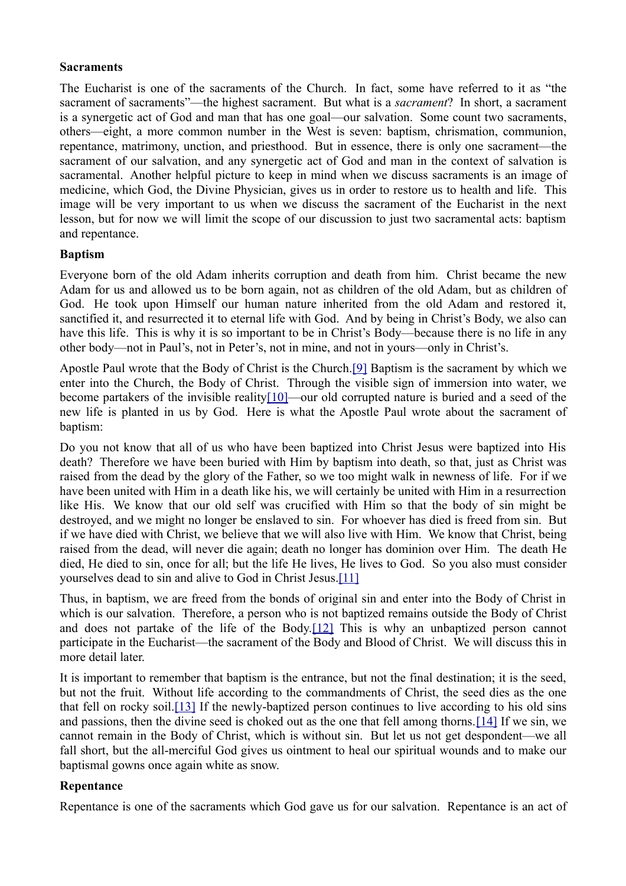## **Sacraments**

The Eucharist is one of the sacraments of the Church. In fact, some have referred to it as "the sacrament of sacraments"—the highest sacrament. But what is a *sacrament*? In short, a sacrament is a synergetic act of God and man that has one goal—our salvation. Some count two sacraments, others—eight, a more common number in the West is seven: baptism, chrismation, communion, repentance, matrimony, unction, and priesthood. But in essence, there is only one sacrament—the sacrament of our salvation, and any synergetic act of God and man in the context of salvation is sacramental. Another helpful picture to keep in mind when we discuss sacraments is an image of medicine, which God, the Divine Physician, gives us in order to restore us to health and life. This image will be very important to us when we discuss the sacrament of the Eucharist in the next lesson, but for now we will limit the scope of our discussion to just two sacramental acts: baptism and repentance.

# **Baptism**

Everyone born of the old Adam inherits corruption and death from him. Christ became the new Adam for us and allowed us to be born again, not as children of the old Adam, but as children of God. He took upon Himself our human nature inherited from the old Adam and restored it, sanctified it, and resurrected it to eternal life with God. And by being in Christ's Body, we also can have this life. This is why it is so important to be in Christ's Body—because there is no life in any other body—not in Paul's, not in Peter's, not in mine, and not in yours—only in Christ's.

Apostle Paul wrote that the Body of Christ is the Church[.\[9\]](http://frsergei.wordpress.com/Users/Fr.%20Sergei/Documents/My%20Dropbox/Law%20of%20God/The%20Law%20of%20God.docx#_ftn9) Baptism is the sacrament by which we enter into the Church, the Body of Christ. Through the visible sign of immersion into water, we become partakers of the invisible realit[y\[10\]—](http://frsergei.wordpress.com/Users/Fr.%20Sergei/Documents/My%20Dropbox/Law%20of%20God/The%20Law%20of%20God.docx#_ftn10)our old corrupted nature is buried and a seed of the new life is planted in us by God. Here is what the Apostle Paul wrote about the sacrament of baptism:

Do you not know that all of us who have been baptized into Christ Jesus were baptized into His death? Therefore we have been buried with Him by baptism into death, so that, just as Christ was raised from the dead by the glory of the Father, so we too might walk in newness of life. For if we have been united with Him in a death like his, we will certainly be united with Him in a resurrection like His. We know that our old self was crucified with Him so that the body of sin might be destroyed, and we might no longer be enslaved to sin. For whoever has died is freed from sin. But if we have died with Christ, we believe that we will also live with Him. We know that Christ, being raised from the dead, will never die again; death no longer has dominion over Him. The death He died, He died to sin, once for all; but the life He lives, He lives to God. So you also must consider yourselves dead to sin and alive to God in Christ Jesus[.\[11\]](http://frsergei.wordpress.com/Users/Fr.%20Sergei/Documents/My%20Dropbox/Law%20of%20God/The%20Law%20of%20God.docx#_ftn11)

Thus, in baptism, we are freed from the bonds of original sin and enter into the Body of Christ in which is our salvation. Therefore, a person who is not baptized remains outside the Body of Christ and does not partake of the life of the Body[.\[12\]](http://frsergei.wordpress.com/Users/Fr.%20Sergei/Documents/My%20Dropbox/Law%20of%20God/The%20Law%20of%20God.docx#_ftn12) This is why an unbaptized person cannot participate in the Eucharist—the sacrament of the Body and Blood of Christ. We will discuss this in more detail later.

It is important to remember that baptism is the entrance, but not the final destination; it is the seed, but not the fruit. Without life according to the commandments of Christ, the seed dies as the one that fell on rocky soil[.\[13\]](http://frsergei.wordpress.com/Users/Fr.%20Sergei/Documents/My%20Dropbox/Law%20of%20God/The%20Law%20of%20God.docx#_ftn13) If the newly-baptized person continues to live according to his old sins and passions, then the divine seed is choked out as the one that fell among thorns.[\[14\]](http://frsergei.wordpress.com/Users/Fr.%20Sergei/Documents/My%20Dropbox/Law%20of%20God/The%20Law%20of%20God.docx#_ftn14) If we sin, we cannot remain in the Body of Christ, which is without sin. But let us not get despondent—we all fall short, but the all-merciful God gives us ointment to heal our spiritual wounds and to make our baptismal gowns once again white as snow.

# **Repentance**

Repentance is one of the sacraments which God gave us for our salvation. Repentance is an act of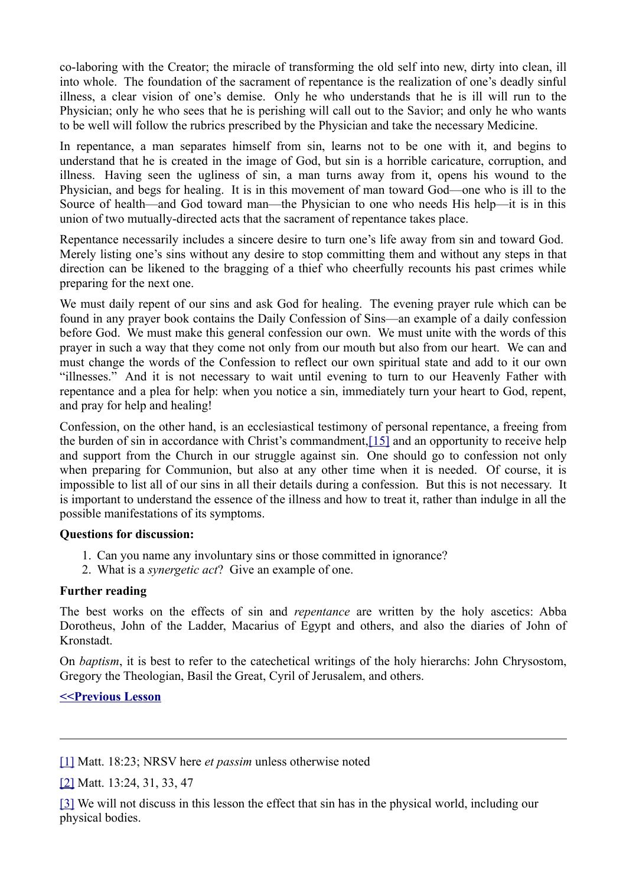co-laboring with the Creator; the miracle of transforming the old self into new, dirty into clean, ill into whole. The foundation of the sacrament of repentance is the realization of one's deadly sinful illness, a clear vision of one's demise. Only he who understands that he is ill will run to the Physician; only he who sees that he is perishing will call out to the Savior; and only he who wants to be well will follow the rubrics prescribed by the Physician and take the necessary Medicine.

In repentance, a man separates himself from sin, learns not to be one with it, and begins to understand that he is created in the image of God, but sin is a horrible caricature, corruption, and illness. Having seen the ugliness of sin, a man turns away from it, opens his wound to the Physician, and begs for healing. It is in this movement of man toward God—one who is ill to the Source of health—and God toward man—the Physician to one who needs His help—it is in this union of two mutually-directed acts that the sacrament of repentance takes place.

Repentance necessarily includes a sincere desire to turn one's life away from sin and toward God. Merely listing one's sins without any desire to stop committing them and without any steps in that direction can be likened to the bragging of a thief who cheerfully recounts his past crimes while preparing for the next one.

We must daily repent of our sins and ask God for healing. The evening prayer rule which can be found in any prayer book contains the Daily Confession of Sins—an example of a daily confession before God. We must make this general confession our own. We must unite with the words of this prayer in such a way that they come not only from our mouth but also from our heart. We can and must change the words of the Confession to reflect our own spiritual state and add to it our own "illnesses." And it is not necessary to wait until evening to turn to our Heavenly Father with repentance and a plea for help: when you notice a sin, immediately turn your heart to God, repent, and pray for help and healing!

Confession, on the other hand, is an ecclesiastical testimony of personal repentance, a freeing from the burden of sin in accordance with Christ's commandment[,\[15\]](http://frsergei.wordpress.com/Users/Fr.%20Sergei/Documents/My%20Dropbox/Law%20of%20God/The%20Law%20of%20God.docx#_ftn15) and an opportunity to receive help and support from the Church in our struggle against sin. One should go to confession not only when preparing for Communion, but also at any other time when it is needed. Of course, it is impossible to list all of our sins in all their details during a confession. But this is not necessary. It is important to understand the essence of the illness and how to treat it, rather than indulge in all the possible manifestations of its symptoms.

#### **Questions for discussion:**

- 1. Can you name any involuntary sins or those committed in ignorance?
- 2. What is a *synergetic act*? Give an example of one.

# **Further reading**

The best works on the effects of sin and *repentance* are written by the holy ascetics: Abba Dorotheus, John of the Ladder, Macarius of Egypt and others, and also the diaries of John of Kronstadt.

On *baptism*, it is best to refer to the catechetical writings of the holy hierarchs: John Chrysostom, Gregory the Theologian, Basil the Great, Cyril of Jerusalem, and others.

# **[<<Previous Lesson](http://frsergei.wordpress.com/2010/09/05/the-law-of-god-foundations-of-the-orthodox-faith-lesson-1/)**

[\[1\]](http://frsergei.wordpress.com/Users/Fr.%20Sergei/Documents/My%20Dropbox/Law%20of%20God/The%20Law%20of%20God.docx#_ftnref1) Matt. 18:23; NRSV here *et passim* unless otherwise noted

[\[2\]](http://frsergei.wordpress.com/Users/Fr.%20Sergei/Documents/My%20Dropbox/Law%20of%20God/The%20Law%20of%20God.docx#_ftnref2) Matt. 13:24, 31, 33, 47

[\[3\]](http://frsergei.wordpress.com/Users/Fr.%20Sergei/Documents/My%20Dropbox/Law%20of%20God/The%20Law%20of%20God.docx#_ftnref3) We will not discuss in this lesson the effect that sin has in the physical world, including our physical bodies.